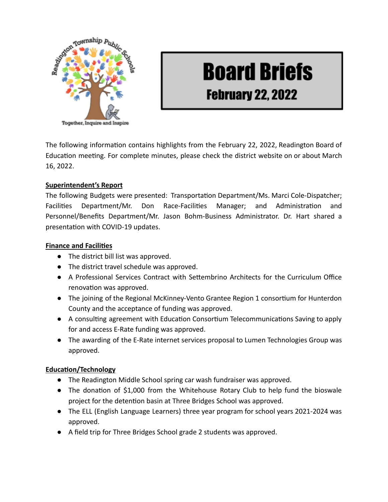

# **Board Briefs**

# **February 22, 2022**

The following information contains highlights from the February 22, 2022, Readington Board of Education meeting. For complete minutes, please check the district website on or about March 16, 2022.

## **Superintendent's Report**

The following Budgets were presented: Transportation Department/Ms. Marci Cole-Dispatcher; Facilities Department/Mr. Don Race-Facilities Manager; and Administration and Personnel/Benefits Department/Mr. Jason Bohm-Business Administrator. Dr. Hart shared a presentation with COVID-19 updates.

### **Finance and Facilities**

- The district bill list was approved.
- The district travel schedule was approved.
- A Professional Services Contract with Settembrino Architects for the Curriculum Office renovation was approved.
- The joining of the Regional McKinney-Vento Grantee Region 1 consortium for Hunterdon County and the acceptance of funding was approved.
- A consulting agreement with Education Consortium Telecommunications Saving to apply for and access E-Rate funding was approved.
- The awarding of the E-Rate internet services proposal to Lumen Technologies Group was approved.

### **Education/Technology**

- The Readington Middle School spring car wash fundraiser was approved.
- The donation of \$1,000 from the Whitehouse Rotary Club to help fund the bioswale project for the detention basin at Three Bridges School was approved.
- The ELL (English Language Learners) three year program for school years 2021-2024 was approved.
- A field trip for Three Bridges School grade 2 students was approved.